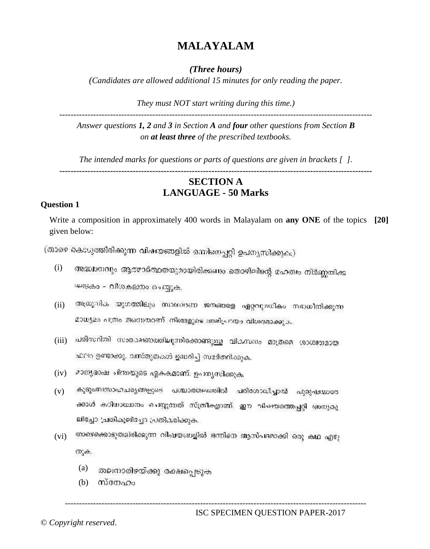# **MALAYALAM**

## *(Three hours)*

*(Candidates are allowed additional 15 minutes for only reading the paper.*

*They must NOT start writing during this time.)*

--------------------------------------------------------------------------------------------------------------- *Answer questions 1, 2 and 3 in Section A and four other questions from Section B on at least three of the prescribed textbooks.*

*The intended marks for questions or parts of questions are given in brackets [ ].*

# **--------------------------------------------------------------------------------------------------------------- SECTION A LANGUAGE - 50 Marks**

## **Question 1**

Write a composition in approximately 400 words in Malayalam on **any ONE** of the topics **[20]** given below:

(താഴെ കൊടുത്തിരിക്കുന്ന വിഷയങ്ങളിൽ ഒന്നിനെപ്പറ്റി ഉപന്യസിക്കുക.)

- (i) അദ്ധ്വാനവും ആര്മാര്ത്ഥതയുമായിരിക്കണം തൊഴിലിന്റെ മഹത്രം നിർണ്ണതിക്ക ഘടകം – വീശകലനം ചെയ്യുക.
- (ii) ആധൂനിക യുഗത്തിലും സാഗങ്ങന ജനങ്ങളെ ഏറ്റവുമധികം സാധീനിക്കുന്ന മാധ്യമാ പത്രം തന്നെതാണ്. നിങ്ങളുടെ അഭിപ്രായം വിശദമാക്കുക.
- (iii) പരിസ്ഥിതി സാരക്ഷണത്തിലുന്നിക്കൊണ്ടുള്ള വികസനം മാത്രമെ ശാശ്വര്യമായ ഫറിറ രണ്ടാക്കും വസ്തുതകൾ ഉദ്ധരിച്ച് സമർത്നിക്കുക.
- (iv) മാത്യഭാഷ ചിന്തയുടെ ഏകകമാണ്. ഉപതൃസിക്കുക,
- (v) കുടുംബസാഹചര്യങ്ങളുടെ പശ്ചാത്തലത്തിൽ പരിശോധിപ്പാൽ പുരുഷയാരേ ക്കാൾ കഠിധാധാനം ചെയ്യുന്നത് സ്ത്രീകളാണ്. ഈ വിഷയത്തെപ്പറ്റി അനുകൂ ലിച്ചോ 'പതികൂലിച്ചോ പ്രതികരിക്കുക.
- (vi) താഴെക്കൊടുത്തിരിക്കുന്ന വിഷയങ്ങളിൽ ഒന്നിനെ ആസ്പദമാക്കി ഒരു കഥ എഴു m.e.

-----------------------------------------------------------------------------------------------------------

- (a) തലനാരിഴയ്ക്കു രക്ഷപ്പെടുക
- (b)സ്നേഹം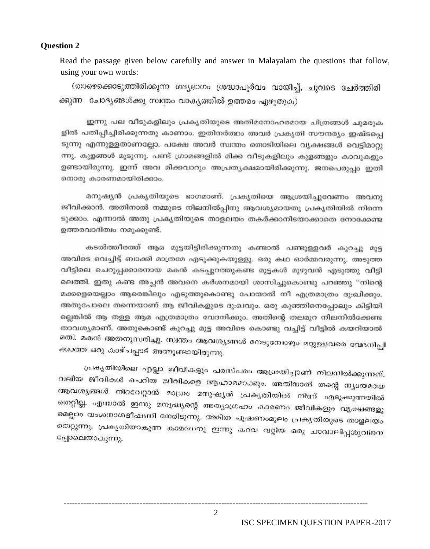### **Question 2**

Read the passage given below carefully and answer in Malayalam the questions that follow, using your own words:

(താഴെക്കൊടുത്തിരിക്കുന്ന ഗദൃഭാഗം ശ്രദ്ധാപൂര്വം വായിച്ച്, ചുവടെ ചേർത്തിരി ക്കുന്ന ചോദ്യങ്ങൾക്കു സ്ഥതം വാകൃത്തിൽ ഉത്തരം എഴുതുക)

ഇന്നു പല വീടുകളിലും പ്രകൃതിയുടെ അതിമനോഹരമായ ചിത്രങ്ങൾ ചുമരുക ളിൽ പതിപ്പിച്ചിരിക്കുന്നതു കാണാം. ഇതിനർത്ഥം അവർ പ്രകൃതി സൗന്ദര്യം ഇഷ്ടപ്പെ ടുന്നു എന്നുള്ളതാണല്ലോ. പക്ഷേ അവർ സ്ഥതം തൊടിയിലെ വ്യക്ഷങ്ങൾ വെടിമാറു ന്നു. കുളങ്ങൾ മൂടുന്നു. പണ്ട് ഗ്രാമങ്ങളിൽ മിക്ക വീടുകളിലും കുളങ്ങളും കാവുകളും ഉണ്ടായിരുന്നു. ഇന്ന് അവ മിക്കവാറും അപ്രത്യക്ഷമായിരിക്കുന്നു. ജനപെരുപ്പം ഇതി നൊരു കാരണമായിരിക്കാം.

മനുഷ്യൻ പ്രകൃതിയുടെ ഭാഗമാണ്. പ്രകൃതിയെ ആശ്രയിച്ചുവേണം അവനു ജീവിക്കാൻ. അതിനാൽ നമ്മുടെ നിലനിൽപ്പിനു ആവശ്യമായതു പ്രകൃതിയിൽ നിന്നെ ടുക്കാം. എന്നാൽ അതു പ്രകൃതിയുടെ താളലയം തകർക്കാനിടയാക്കാതെ നോക്കേണ്ട ഉത്തരവാദിത്വം നമുക്കുണ്ട്.

കടൽത്തീരത്ത് ആമ മുട്ടയിട്ടിരിക്കുന്നതു കണ്ടാൽ പണ്ടുള്ളവർ കുറച്ചു മുട്ട അവിടെ വെച്ചിട്ട് ബാക്കി മാത്രമേ എടുക്കുകയുള്ളു. ഒരു കഥ ഓർമ്മവരുന്നു. അടുത്ത വീട്ടിലെ ചെറുപ്പക്കാരനായ മകൻ കടപ്പുറത്തുകണ്ട മുട്ടകൾ മുഴുവൻ എടുത്തു വീട്ടി ലെത്തി. ഇതു കണ്ട അച്ഛൻ അവനെ കർശനമായി ശാസിച്ചുകൊണ്ടു പറഞ്ഞു ''നിന്റെ മക്കളെയെല്ലാം ആരെങ്കിലും എടുത്തുകൊണ്ടു പോയാൽ നീ എത്രമാത്രം ദു:ഖിക്കും. അതുപോലെ തന്നെയാണ് ആ ജീവികളുടെ ദു:ഖവും. ഒരു കുഞ്ഞിനെപ്പോലും കിട്ടിയി ല്ലെങ്കിൽ ആ തള്ള ആമ എത്രമാത്രം വേദനിക്കും. അതിന്റെ തലമുറ നിലനിൽക്കേണ്ട താവശ്യമാണ്. അതുകൊണ്ട് കുറച്ചു മുട്ട അവിടെ കൊണ്ടു വച്ചിട്ട് വീട്ടിൽ കയറിയാൽ മതി. മകൻ അതനുസരിച്ചു. സ്ഥാതം ആവശ്യങ്ങൾ നേടുമേഖഴും മറ്റുള്ളവരെ വേദനിപ്പി<br>ക്ലാത്ത ഗവം ചെച്ചം ക്കാത്ത ഒരു കാഴ്ചപ്പാട് അനുണ്ടായിരുന്നു.

വലിയ ജീവികൾ ചെറിയ ജീവികളെ ആഹാരമാക്കും. അതിനാൽ തന്റെ നൃശേശായ ആവശ്യങ്ങൾ നിറവേറ്റാൻ മാത്രം മനുഷ്യൻ പ്രകൃതിയിൽ നിന്ന് എടുക്കുന്നതിൽ<br>സ്ഥാപി സ്ഥാപ്പ് തെറ്റില്ല. എന്നാൽ ഇന്നു മനുഷ്യന്റെ അത്യാഗ്രഹം കാരണം ജീവികളും വ്യക്ഷങ്ങളു മെല്ലാം വംശനാശഭീക്ഷനി നേരിടുന്നു. അമിത പൂഷണംമൂലം പ്രകൃതിയുടെ താളലതം തെറ്റുന്നു. പ്രകൃതിയാകുന്ന കാമനേനു ഇന്നു കറവ വറ്റിയ ഒരു ചാവാലിപ്പശുവിനെ പ്പോലെയാകുന്നു.

ISC SPECIMEN QUESTION PAPER-2017

2

------------------------------------------------------------------------------------------------------------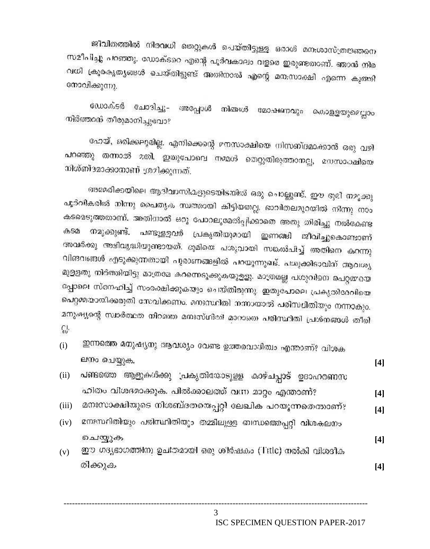ജീവിതത്തിൽ നിരവധി തെറ്റുകൾ ചെയ്തിട്ടുള്ള ഒരാൾ മന:ശാസ്ത്രജ്ഞനെ സമീപിച്ചു പറഞ്ഞു. ഡോക്ടറെ എന്റെ പൂർവകാലം വളരെ ഇരുണ്ടതാണ്. ഞാൻ നിര വധി ക്രൂരകൃത്യങ്ങൾ ചെയ്തിട്ടുണ്ട് അതിനാൽ എന്റെ മന:സാക്ഷി എന്നെ കുത്തി നോവിക്കുന്നു.

ഡോക്ടർ ചോദിച്ചു– അപ്പോൾ നിങ്ങൾ മോഷണവും കൊള്ളയുമെല്ലാം നിർത്താൻ തീരുമാനിച്ചുവോ?

ഹേയ്, ഒരിക്കലൂമില്ല, എനിക്കെന്റെ മനസാക്ഷിയെ നിസബ്ദമാക്കാൻ ഒരു വഴി പറഞ്ഞു തന്നാൽ മതി. ഇതുപോലെ നമ്മൾ തെറ്റുതിരുത്താനല്ല, മനസാക്ഷിയെ നിശ്ബ്ദമാക്കാനാണ് ശ്രമിക്കുന്നത്.

അമേരിക്കയിലെ ആദിവാസികളുടെയിടതിൽ ഒരു ചൊല്ലുണ്ട്. ഈ ഭൂമി നമുക്കു പൂർവികരിൽ നിന്നു പൈതൃക സ്ഥത്തായി കിട്ടിയതല്ല. ഭാവിതലമുറയിൽ നിന്നു നാം കടമെടുത്തതാണ്. അതിനാൽ ഒരു പോറലുമേൽപ്പിക്കാതെ അതു തിരിച്ചു നൽകേണ്ട പണ്ടുള്ളവർ പ്രകൃതിയുമായി ഇണങ്ങി ജീവിച്ചുകൊണ്ടാണ് കടമ നമുക്കുണ്ട്. അവർക്കു അഭിവ്യദ്ധിയുണ്ടായത്. ഭൂമിയെ പശുവായി സക്രൽപിച്ച് അതിനെ കറന്നു വിങവങ്ങൾ എടുക്കുന്നതായി പൂരാണങ്ങളിൽ പറയുന്നുഖട്. പശുക്കിടാവിന് ആവശ്യ മുള്ളതു നിർത്തിയിട്ടു മാത്രമേ കറന്നെടുക്കുകയുളളു. മാത്രമല്ല പശുവിനെ പെറ്റമ്മയെ പ്പോലെ സ്നേഹിച്ച് സംരക്ഷിക്കുകയും ചെയ്തിരുന്നു. ഇതുപോലെ പ്രകൃതിദരവിയെ പെറ്റമായായിക്കരുതി സേവിക്കണം. മനഃസ്ഥിതി നന്നായാൽ പരിസ്ഥിതിയും നന്നാകും. മനുഷ്യന്റെ സ്ഥർത്ഥത നിറഞ്ഞ മനഃസ്ഥിതി മാറാതെ പരിസ്ഥിതി പ്രശ്നങ്ങൾ തീരി E.

ഇന്നത്തെ മനുഷ്യനു ആവശ്യം വേണ്ട ഉത്തരവാദിത്വം എന്താണ്? വിശക  $(i)$ ലനം ചെയ്യുക.

- പണ്ടത്തെ ആളുകൾക്കു 'പകൃതിയോടുളള കാഴ്ചപ്പാട് ഉദാഹരണസ  $(ii)$ ഹിതം വിശദമാക്കുക. പിൽക്കാലത്ത് വന്ന മാറ്റം എന്താണ്?
- മനഃസാക്ഷിയുടെ നിശബ്ദതയെപ്പറ്റി ലേഖിക പറയുന്നതെന്താണ്?  $(iii)$  $[4]$
- മനഃസ്ഥിതിയും പരിസ്ഥിതിയും തമ്മിലുള്ള ബന്ധതൊപ്പറ്റി വിശകലനം  $(iv)$ ചെയ്യുക  $[4]$
- ഈ ഗദ്യഭാഗത്തിനു ഉചിതമായി ഒരു ശിർഷകം (Title) നൽകി വിശദീക  $(v)$ രിക്കുക

 $[4]$ 

 $[4]$ 

 $[4]$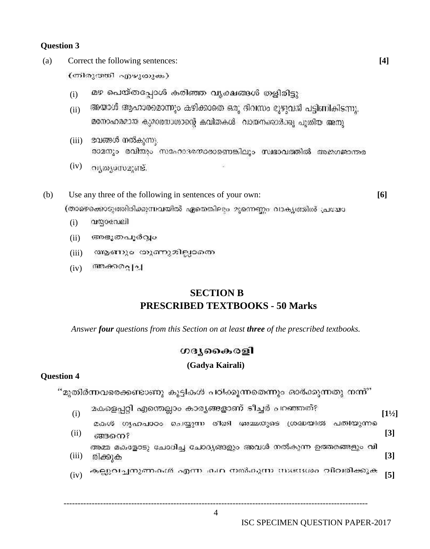## **Question 3**

(a) Correct the following sentences: **[4]**

(തിരുത്തി എഴുതുക)

- $\mathbf{u}$ ) മഴ പെയ്തപ്പോൾ കരിഞ്ഞ വൃക്ഷങ്ങൾ തളിരിട്ടു
- $\sin$  അയാൾ ആഹാരമൊന്നും കഴിക്കാതെ ഒരു ദിവസം മുഴുവൻ പട്ടിണികിടന്നു. മനോഹരമായ കുമാരനാശാന്റെ കവിതകൾ 'വായനംശാർക്കു പൂതിയ അനു'
- (iii) ഭവങ്ങൾ നൽകുന്നു. രാമനും രവിയും സഹോദരനാരാണെങ്കിലും സ്വഭാവത്തിൽ അജഗജാന്തര
- (iv) **orgonomic**.
- (b) Use any three of the following in sentences of your own: **[6]** (താഴെക്കൊടുത്തിരിക്കുന്നവയിൽ ഏതെങ്കിലും മുന്നെണ്ണം വാക്യത്തിൽ പ്രദ്ധോ
	- (i)
	- (ii) അഭുതപൂർവ്വം
	- (iii) ആണും തുണുമില്ലാതെ
	- $(iv)$  an  $\theta$   $\theta$   $\theta$   $\theta$

# **SECTION B PRESCRIBED TEXTBOOKS - 50 Marks**

*Answer four questions from this Section on at least three of the prescribed textbooks.*

# ഗദ്യകൈരളി

# **(Gadya Kairali)**

# **Question 4**

"മുതിർന്നവരെക്കണ്ടാണു കുട്ടികൾ പഠിക്കുന്നതെന്നും ഓർക്കുന്നതു നന്ന്"

- (i) <sup>മകളെപ്പറ്റി എന്തെല്ലാം കാര്യങ്ങളാണ് ടീച്ചർ പറഞ്ഞത്?<br>[1½]</sup>
	- മകൾ ഗൃഹപാഠം ചെയ്യുന്ന രീതി അമ്മയുടെ ശ്രദ്ധയിൽ പതിയുന്നു
- (ii) **[3]** അമ്മ മകളോടു ചോദിച്ച ചോദ്യങ്ങളും അവൾ നൽകുന്ന ഉത്തരങ്ങളും വി (iii) **[3]**
- (iv) **[5]**

------------------------------------------------------------------------------------------------------------ 4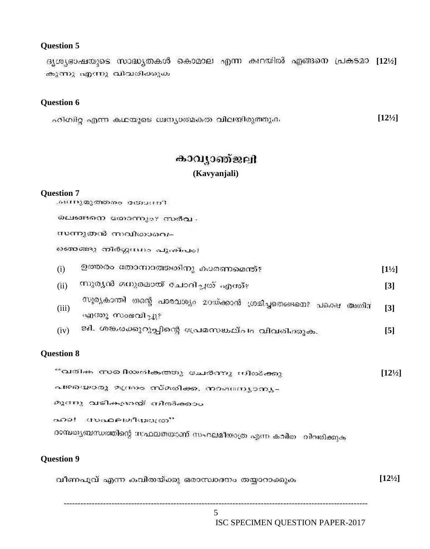## **Question 5**

ദൃശൃഭാഷയുടെ സാദ്ധൃതകൾ കൊമാല എന്ന കഥയിൽ എങ്ങനെ പ്രകടമാ [12½] കുന്നു എന്നു വിവരിക്കുക

### **Question 6**

**[12½]** ഹിഗിറ്റ എന്ന കഥയുടെ ധസ്യാത്മകത വിലയിരുത്തുക

# കാവൃാഞ്ജലി **(Kavyanjali)**

#### **Question 7**

.ഒന്നുമുത്തരം യോദനീ

വെങ്ങനെ തോന്നും? സർവ -

സന്നുതൻ സവിതാവെ–

ഞ്ഞെങ്ങു തിർഗ്ഗന്ധം പുക്പം!

| (i)   | ഉത്തരം തോന്നാത്തതിനു കാരണമെന്ത്?                                                      | $[1\frac{1}{2}]$  |
|-------|---------------------------------------------------------------------------------------|-------------------|
| (ii)  | സുര്യൻ മനുരമായ് ചോദിച്ചത് എന്ത്?                                                      | $\bm{[}3\bm{]}$   |
| (iii) | സൂര്യകാന്തി തന്റെ പാരവശ്യം മറയ്ക്കാൻ ശ്രമിച്ചതെങ്ങനെ? പക്ഷെ അതിന്<br>എന്തു സംഭവിച്ചു? | $\lceil 3 \rceil$ |
| (iv)  | ജി. ശങ്കരക്കുറുപ്പിന്റെ പ്രേമസങ്കല്പം വിവരിക്കുക.                                     | [5]               |

### **Question 8**

| ് വരിക സരിിയരികത്തു ചേർന്നു നിൽക്കു                            | $\left\lceil 12^{1/2} \right\rceil$ |
|----------------------------------------------------------------|-------------------------------------|
| പഴയൊരു മന്ത്രം സ്മരിക്ക, നാമന്ത്രുമാപ്പം                       |                                     |
| മൂന്നു വടികളായ് നിരീക്കാം                                      |                                     |
| ായാമലമീനമാത്രി<br>001                                          |                                     |
| ദാമ്പതൃബന്ധത്തിന്റെ സഫലതയാണ് സഹലമീതാത്ര എന്ന കവിത - വിവതിക്കുക |                                     |
| <b>Question 9</b>                                              |                                     |

#### **[12½]**വീണപൂവ് എന്ന കവിതയ്ക്കു ഒരാസ്ഥദനം തയ്യാറാക്കുക

------------------------------------------------------------------------------------------------------------ 5

ISC SPECIMEN QUESTION PAPER-2017